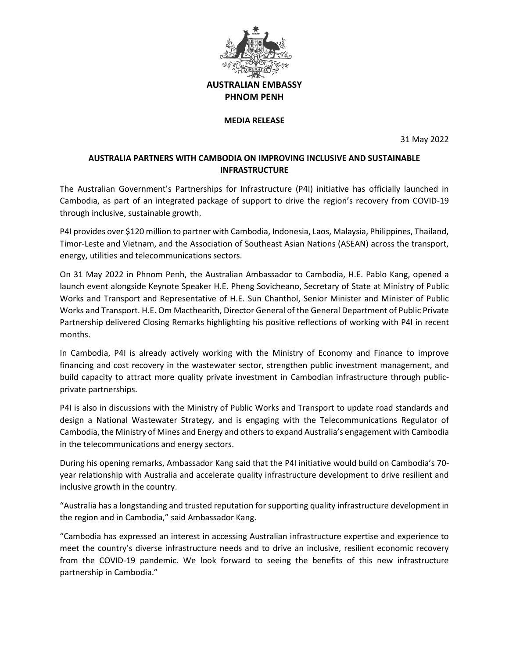

**AUSTRALIAN EMBASSY PHNOM PENH**

## **MEDIA RELEASE**

31 May 2022

## **AUSTRALIA PARTNERS WITH CAMBODIA ON IMPROVING INCLUSIVE AND SUSTAINABLE INFRASTRUCTURE**

The Australian Government's Partnerships for Infrastructure (P4I) initiative has officially launched in Cambodia, as part of an integrated package of support to drive the region's recovery from COVID-19 through inclusive, sustainable growth.

P4I provides over \$120 million to partner with Cambodia, Indonesia, Laos, Malaysia, Philippines, Thailand, Timor-Leste and Vietnam, and the Association of Southeast Asian Nations (ASEAN) across the transport, energy, utilities and telecommunications sectors.

On 31 May 2022 in Phnom Penh, the Australian Ambassador to Cambodia, H.E. Pablo Kang, opened a launch event alongside Keynote Speaker H.E. Pheng Sovicheano, Secretary of State at Ministry of Public Works and Transport and Representative of H.E. Sun Chanthol, Senior Minister and Minister of Public Works and Transport. H.E. Om Macthearith, Director General of the General Department of Public Private Partnership delivered Closing Remarks highlighting his positive reflections of working with P4I in recent months.

In Cambodia, P4I is already actively working with the Ministry of Economy and Finance to improve financing and cost recovery in the wastewater sector, strengthen public investment management, and build capacity to attract more quality private investment in Cambodian infrastructure through publicprivate partnerships.

P4I is also in discussions with the Ministry of Public Works and Transport to update road standards and design a National Wastewater Strategy, and is engaging with the Telecommunications Regulator of Cambodia, the Ministry of Mines and Energy and others to expand Australia's engagement with Cambodia in the telecommunications and energy sectors.

During his opening remarks, Ambassador Kang said that the P4I initiative would build on Cambodia's 70 year relationship with Australia and accelerate quality infrastructure development to drive resilient and inclusive growth in the country.

"Australia has a longstanding and trusted reputation for supporting quality infrastructure development in the region and in Cambodia," said Ambassador Kang.

"Cambodia has expressed an interest in accessing Australian infrastructure expertise and experience to meet the country's diverse infrastructure needs and to drive an inclusive, resilient economic recovery from the COVID-19 pandemic. We look forward to seeing the benefits of this new infrastructure partnership in Cambodia."